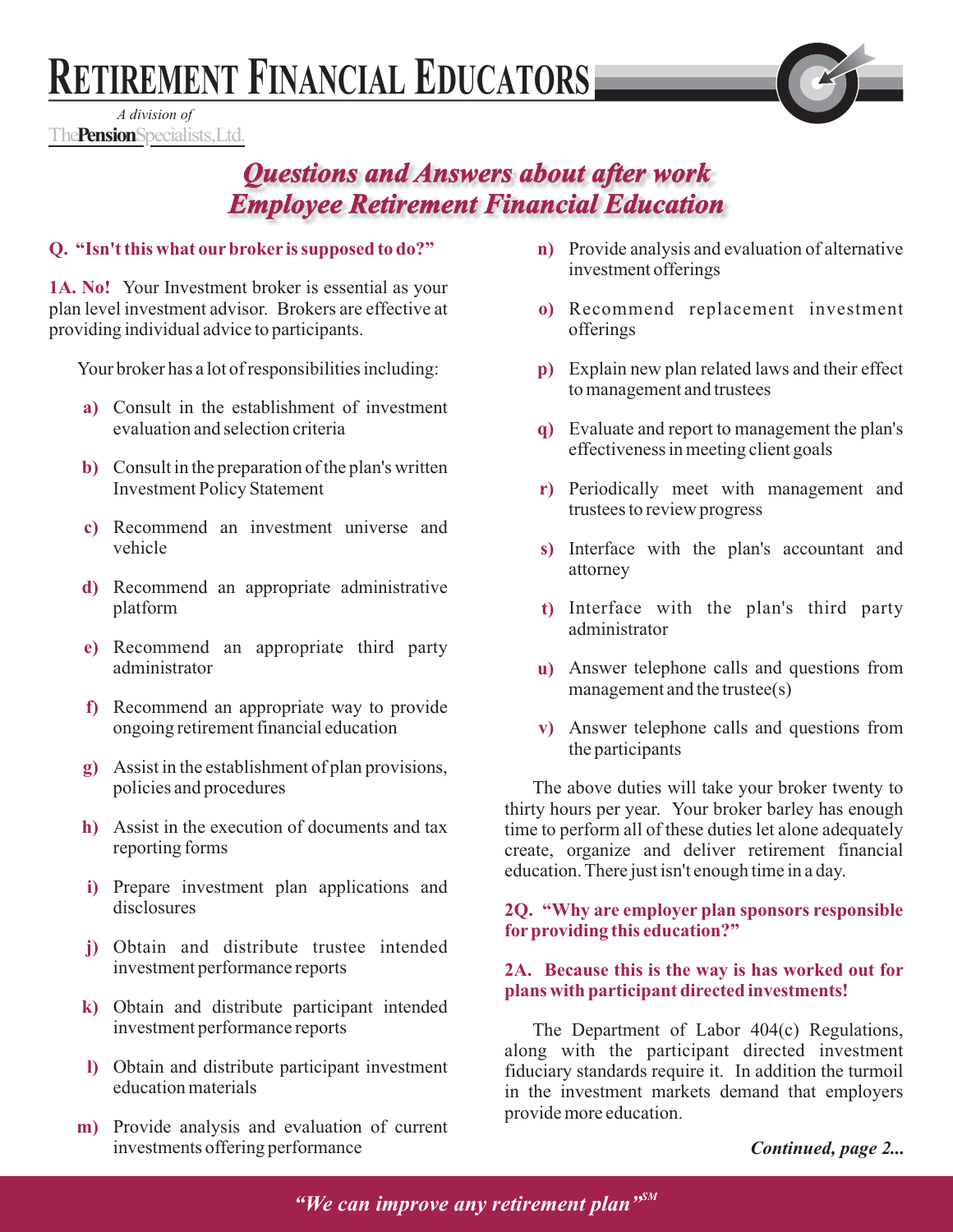# **RETIREMENT FINANCIAL EDUCATORS**

*A division of* **The Pension** Specialists, Ltd.

# **Questions and Answers about after work** *Employee Retirement Financial Education Employee Retirement Financial*

# **Q. "Isn't this what our broker is supposed to do?"**

**1A. No!** Your Investment broker is essential as your plan level investment advisor. Brokers are effective at providing individual advice to participants.

Your broker has a lot of responsibilities including:

- Consult in the establishment of investment **a)** evaluation and selection criteria
- Consult in the preparation of the plan's written **b)** Investment Policy Statement
- Recommend an investment universe and **c)** vehicle
- d) Recommend an appropriate administrative platform
- Recommend an appropriate third party **e)** administrator
- f) Recommend an appropriate way to provide ongoing retirement financial education
- Assist in the establishment of plan provisions, **g)** policies and procedures
- Assist in the execution of documents and tax **h)** reporting forms
- i) Prepare investment plan applications and disclosures
- Obtain and distribute trustee intended **j)** investment performance reports
- Obtain and distribute participant intended **k)** investment performance reports
- Obtain and distribute participant investment **l)** education materials
- m) Provide analysis and evaluation of current investments offering performance
- **n**) Provide analysis and evaluation of alternative investment offerings
- Recommend replacement investment **o)** offerings
- Explain new plan related laws and their effect **p)** to management and trustees
- Evaluate and report to management the plan's **q)** effectiveness in meeting client goals
- Periodically meet with management and **r)** trustees to review progress
- s) Interface with the plan's accountant and attorney
- Interface with the plan's third party **t)** administrator
- Answer telephone calls and questions from **u)** management and the trustee(s)
- Answer telephone calls and questions from **v)** the participants

The above duties will take your broker twenty to thirty hours per year. Your broker barley has enough time to perform all of these duties let alone adequately create, organize and deliver retirement financial education. There just isn't enough time in a day.

## **2Q. "Why are employer plan sponsors responsible for providing this education?"**

#### **2A. Because this is the way is has worked out for plans with participant directed investments!**

The Department of Labor 404(c) Regulations, along with the participant directed investment fiduciary standards require it. In addition the turmoil in the investment markets demand that employers provide more education.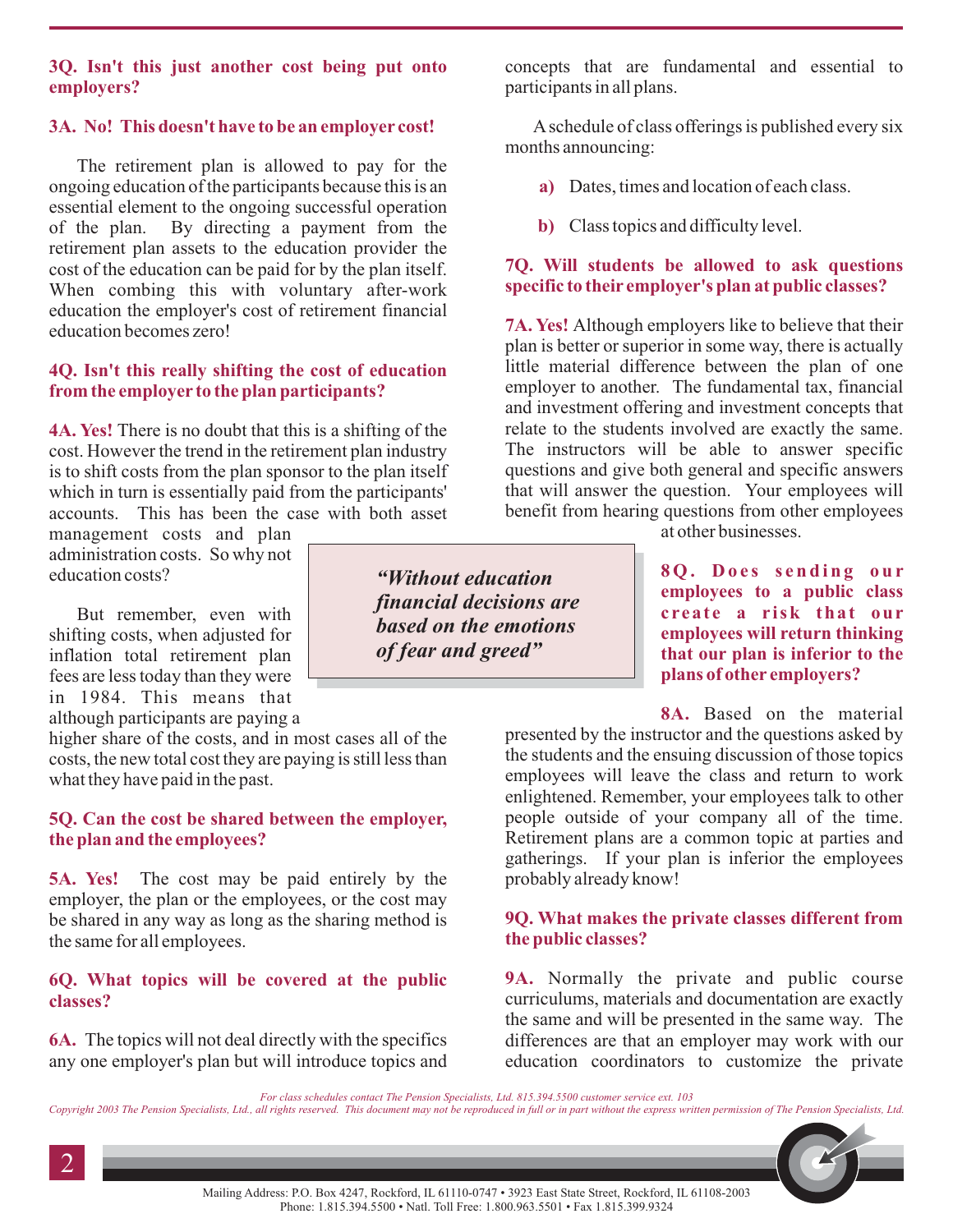#### **3Q. Isn't this just another cost being put onto employers?**

# **3A. No! This doesn't have to be an employer cost!**

The retirement plan is allowed to pay for the ongoing education of the participants because this is an essential element to the ongoing successful operation of the plan. By directing a payment from the retirement plan assets to the education provider the cost of the education can be paid for by the plan itself. When combing this with voluntary after-work education the employer's cost of retirement financial education becomes zero!

#### **4Q. Isn't this really shifting the cost of education from the employer to the plan participants?**

**4A. Yes!** There is no doubt that this is a shifting of the cost. However the trend in the retirement plan industry is to shift costs from the plan sponsor to the plan itself which in turn is essentially paid from the participants' accounts. This has been the case with both asset

management costs and plan administration costs. So why not education costs?

But remember, even with shifting costs, when adjusted for inflation total retirement plan fees are less today than they were in 1984. This means that

although participants are paying a

higher share of the costs, and in most cases all of the costs, the new total cost they are paying is still less than what they have paid in the past.

## **5Q. Can the cost be shared between the employer, the plan and the employees?**

**5A. Yes!** The cost may be paid entirely by the employer, the plan or the employees, or the cost may be shared in any way as long as the sharing method is the same for all employees.

# **6Q. What topics will be covered at the public classes?**

**6A.** The topics will not deal directly with the specifics any one employer's plan but will introduce topics and

*"Without education financial decisions are based on the emotions of fear and greed"*

concepts that are fundamental and essential to participants in all plans.

Aschedule of class offerings is published every six months announcing:

- **a)** Dates, times and location of each class.
- **b)** Class topics and difficulty level.

# **7Q. Will students be allowed to ask questions specific to their employer's plan at public classes?**

**7A. Yes!** Although employers like to believe that their plan is better or superior in some way, there is actually little material difference between the plan of one employer to another. The fundamental tax, financial and investment offering and investment concepts that relate to the students involved are exactly the same. The instructors will be able to answer specific questions and give both general and specific answers that will answer the question. Your employees will benefit from hearing questions from other employees

at other businesses.

**8Q. Does sending our employees to a public class create a risk that our employees will return thinking that our plan is inferior to the plans of other employers?**

**8A.** Based on the material

presented by the instructor and the questions asked by the students and the ensuing discussion of those topics employees will leave the class and return to work enlightened. Remember, your employees talk to other people outside of your company all of the time. Retirement plans are a common topic at parties and gatherings. If your plan is inferior the employees probably already know!

#### **9Q. What makes the private classes different from the public classes?**

**9A.** Normally the private and public course curriculums, materials and documentation are exactly the same and will be presented in the same way. The differences are that an employer may work with our education coordinators to customize the private

*For class schedules contact The Pension Specialists, Ltd. 815.394.5500 customer service ext. 103*

Copyright 2003 The Pension Specialists, Ltd., all rights reserved. This document may not be reproduced in full or in part without the express written permission of The Pension Specialists, Ltd.

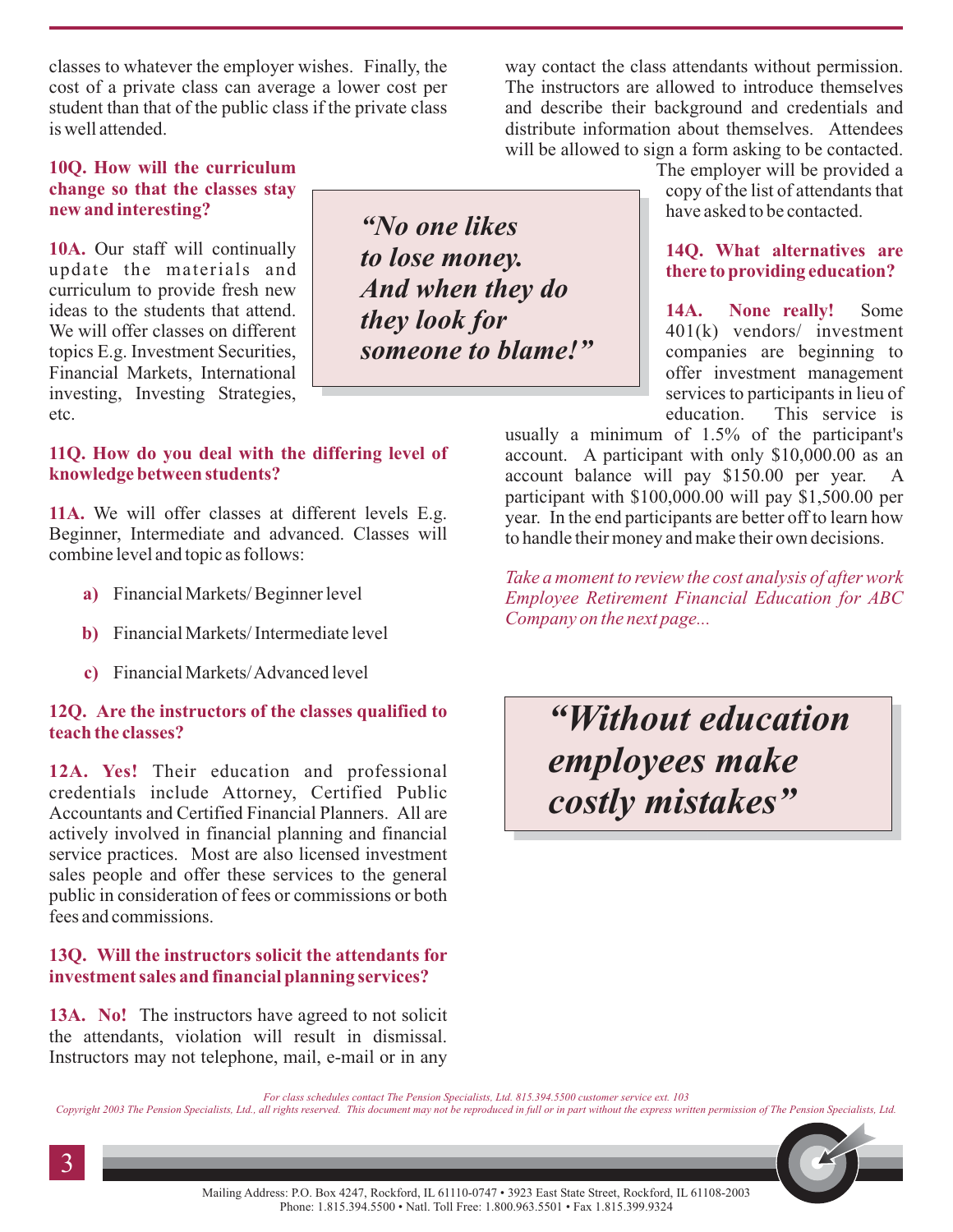classes to whatever the employer wishes. Finally, the cost of a private class can average a lower cost per student than that of the public class if the private class is well attended.

way contact the class attendants without permission. The instructors are allowed to introduce themselves and describe their background and credentials and distribute information about themselves. Attendees will be allowed to sign a form asking to be contacted.

#### **10Q. How will the curriculum change so that the classes stay new and interesting?**

10A. Our staff will continually update the materials and curriculum to provide fresh new ideas to the students that attend. We will offer classes on different topics E.g. Investment Securities, Financial Markets, International investing, Investing Strategies, etc.

#### **11Q. How do you deal with the differing level of knowledge between students?**

11A. We will offer classes at different levels E.g. Beginner, Intermediate and advanced. Classes will combine level and topic as follows:

- Financial Markets/ Beginner level **a)**
- Financial Markets/ Intermediate level **b)**
- Financial Markets/Advanced level **c)**

#### **12Q. Are the instructors of the classes qualified to teach the classes?**

12A. Yes! Their education and professional credentials include Attorney, Certified Public Accountants and Certified Financial Planners. All are actively involved in financial planning and financial service practices. Most are also licensed investment sales people and offer these services to the general public in consideration of fees or commissions or both fees and commissions.

#### **13Q. Will the instructors solicit the attendants for investment sales and financial planning services?**

13A. No! The instructors have agreed to not solicit the attendants, violation will result in dismissal. Instructors may not telephone, mail, e-mail or in any

*"No one likes to lose money. And when they do they look for someone to blame!"* The employer will be provided a copy of the list of attendants that have asked to be contacted.

# **14Q. What alternatives are there to providing education?**

Some 401(k) vendors/ investment companies are beginning to offer investment management services to participants in lieu of education. This service is **14A. None really!**

usually a minimum of 1.5% of the participant's account. A participant with only \$10,000.00 as an account balance will pay \$150.00 per year. A participant with \$100,000.00 will pay \$1,500.00 per year. In the end participants are better off to learn how to handle their money and make their own decisions.

*Take a moment to review the cost analysis of after work Employee Retirement Financial Education for ABC Company on the next page...*

*"Without education employees make costly mistakes"*

*For class schedules contact The Pension Specialists, Ltd. 815.394.5500 customer service ext. 103*